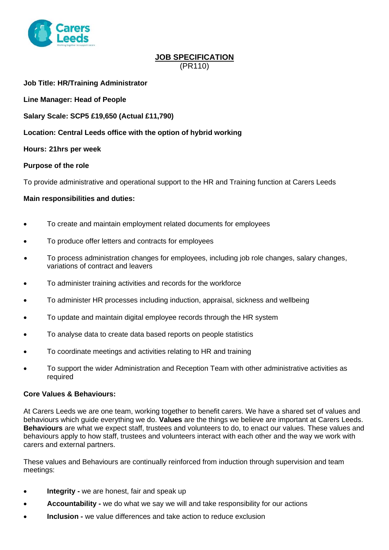

# **JOB SPECIFICATION** (PR110)

**Job Title: HR/Training Administrator**

**Line Manager: Head of People** 

**Salary Scale: SCP5 £19,650 (Actual £11,790)**

**Location: Central Leeds office with the option of hybrid working** 

**Hours: 21hrs per week**

#### **Purpose of the role**

To provide administrative and operational support to the HR and Training function at Carers Leeds

#### **Main responsibilities and duties:**

- To create and maintain employment related documents for employees
- To produce offer letters and contracts for employees
- To process administration changes for employees, including job role changes, salary changes, variations of contract and leavers
- To administer training activities and records for the workforce
- To administer HR processes including induction, appraisal, sickness and wellbeing
- To update and maintain digital employee records through the HR system
- To analyse data to create data based reports on people statistics
- To coordinate meetings and activities relating to HR and training
- To support the wider Administration and Reception Team with other administrative activities as required

#### **Core Values & Behaviours:**

At Carers Leeds we are one team, working together to benefit carers. We have a shared set of values and behaviours which guide everything we do. **Values** are the things we believe are important at Carers Leeds. **Behaviours** are what we expect staff, trustees and volunteers to do, to enact our values. These values and behaviours apply to how staff, trustees and volunteers interact with each other and the way we work with carers and external partners.

These values and Behaviours are continually reinforced from induction through supervision and team meetings:

- **Integrity -** we are honest, fair and speak up
- **Accountability -** we do what we say we will and take responsibility for our actions
- **Inclusion -** we value differences and take action to reduce exclusion